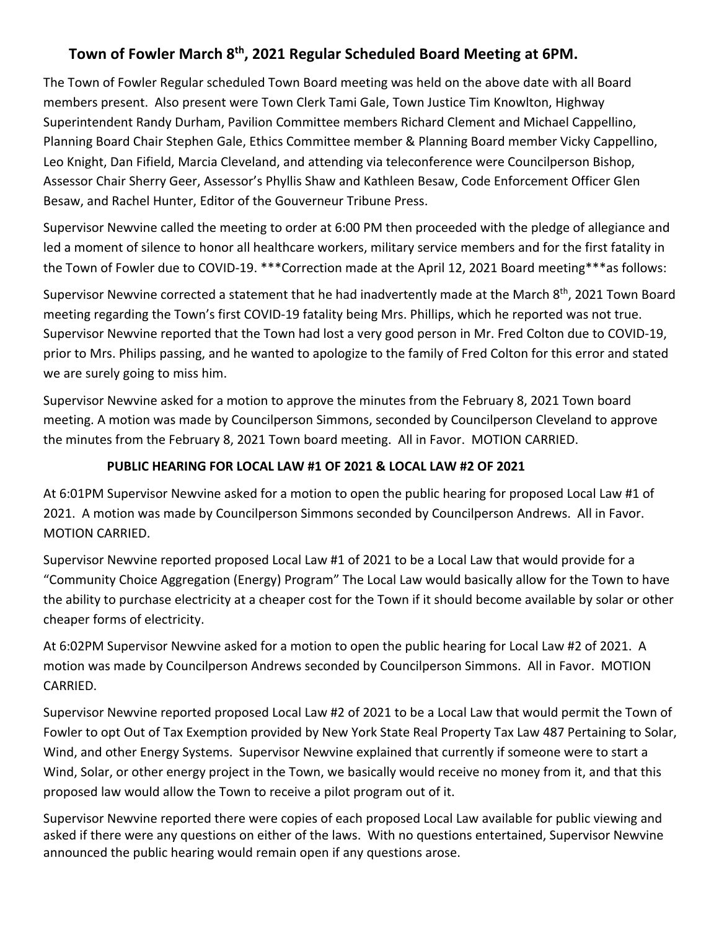# **Town of Fowler March 8th, 2021 Regular Scheduled Board Meeting at 6PM.**

The Town of Fowler Regular scheduled Town Board meeting was held on the above date with all Board members present. Also present were Town Clerk Tami Gale, Town Justice Tim Knowlton, Highway Superintendent Randy Durham, Pavilion Committee members Richard Clement and Michael Cappellino, Planning Board Chair Stephen Gale, Ethics Committee member & Planning Board member Vicky Cappellino, Leo Knight, Dan Fifield, Marcia Cleveland, and attending via teleconference were Councilperson Bishop, Assessor Chair Sherry Geer, Assessor's Phyllis Shaw and Kathleen Besaw, Code Enforcement Officer Glen Besaw, and Rachel Hunter, Editor of the Gouverneur Tribune Press.

Supervisor Newvine called the meeting to order at 6:00 PM then proceeded with the pledge of allegiance and led a moment of silence to honor all healthcare workers, military service members and for the first fatality in the Town of Fowler due to COVID-19. \*\*\*Correction made at the April 12, 2021 Board meeting\*\*\*as follows:

Supervisor Newvine corrected a statement that he had inadvertently made at the March 8<sup>th</sup>, 2021 Town Board meeting regarding the Town's first COVID-19 fatality being Mrs. Phillips, which he reported was not true. Supervisor Newvine reported that the Town had lost a very good person in Mr. Fred Colton due to COVID-19, prior to Mrs. Philips passing, and he wanted to apologize to the family of Fred Colton for this error and stated we are surely going to miss him.

Supervisor Newvine asked for a motion to approve the minutes from the February 8, 2021 Town board meeting. A motion was made by Councilperson Simmons, seconded by Councilperson Cleveland to approve the minutes from the February 8, 2021 Town board meeting. All in Favor. MOTION CARRIED.

### **PUBLIC HEARING FOR LOCAL LAW #1 OF 2021 & LOCAL LAW #2 OF 2021**

At 6:01PM Supervisor Newvine asked for a motion to open the public hearing for proposed Local Law #1 of 2021. A motion was made by Councilperson Simmons seconded by Councilperson Andrews. All in Favor. MOTION CARRIED.

Supervisor Newvine reported proposed Local Law #1 of 2021 to be a Local Law that would provide for a "Community Choice Aggregation (Energy) Program" The Local Law would basically allow for the Town to have the ability to purchase electricity at a cheaper cost for the Town if it should become available by solar or other cheaper forms of electricity.

At 6:02PM Supervisor Newvine asked for a motion to open the public hearing for Local Law #2 of 2021. A motion was made by Councilperson Andrews seconded by Councilperson Simmons. All in Favor. MOTION CARRIED.

Supervisor Newvine reported proposed Local Law #2 of 2021 to be a Local Law that would permit the Town of Fowler to opt Out of Tax Exemption provided by New York State Real Property Tax Law 487 Pertaining to Solar, Wind, and other Energy Systems. Supervisor Newvine explained that currently if someone were to start a Wind, Solar, or other energy project in the Town, we basically would receive no money from it, and that this proposed law would allow the Town to receive a pilot program out of it.

Supervisor Newvine reported there were copies of each proposed Local Law available for public viewing and asked if there were any questions on either of the laws. With no questions entertained, Supervisor Newvine announced the public hearing would remain open if any questions arose.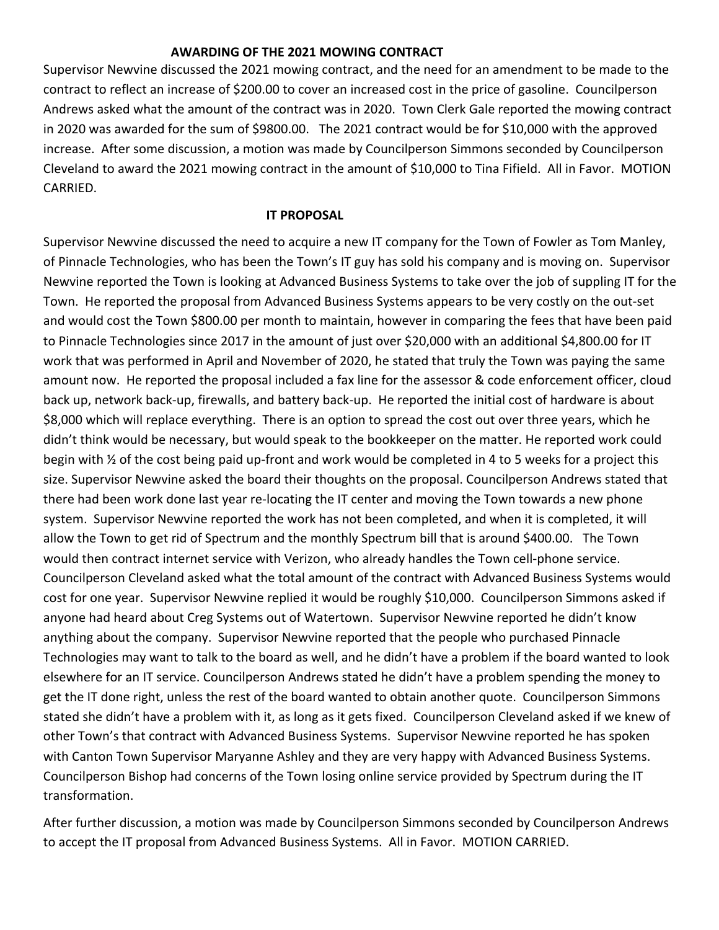#### **AWARDING OF THE 2021 MOWING CONTRACT**

Supervisor Newvine discussed the 2021 mowing contract, and the need for an amendment to be made to the contract to reflect an increase of \$200.00 to cover an increased cost in the price of gasoline. Councilperson Andrews asked what the amount of the contract was in 2020. Town Clerk Gale reported the mowing contract in 2020 was awarded for the sum of \$9800.00. The 2021 contract would be for \$10,000 with the approved increase. After some discussion, a motion was made by Councilperson Simmons seconded by Councilperson Cleveland to award the 2021 mowing contract in the amount of \$10,000 to Tina Fifield. All in Favor. MOTION CARRIED.

#### **IT PROPOSAL**

Supervisor Newvine discussed the need to acquire a new IT company for the Town of Fowler as Tom Manley, of Pinnacle Technologies, who has been the Town's IT guy has sold his company and is moving on. Supervisor Newvine reported the Town is looking at Advanced Business Systems to take over the job of suppling IT for the Town. He reported the proposal from Advanced Business Systems appears to be very costly on the out-set and would cost the Town \$800.00 per month to maintain, however in comparing the fees that have been paid to Pinnacle Technologies since 2017 in the amount of just over \$20,000 with an additional \$4,800.00 for IT work that was performed in April and November of 2020, he stated that truly the Town was paying the same amount now. He reported the proposal included a fax line for the assessor & code enforcement officer, cloud back up, network back-up, firewalls, and battery back-up. He reported the initial cost of hardware is about \$8,000 which will replace everything. There is an option to spread the cost out over three years, which he didn't think would be necessary, but would speak to the bookkeeper on the matter. He reported work could begin with ½ of the cost being paid up-front and work would be completed in 4 to 5 weeks for a project this size. Supervisor Newvine asked the board their thoughts on the proposal. Councilperson Andrews stated that there had been work done last year re-locating the IT center and moving the Town towards a new phone system. Supervisor Newvine reported the work has not been completed, and when it is completed, it will allow the Town to get rid of Spectrum and the monthly Spectrum bill that is around \$400.00. The Town would then contract internet service with Verizon, who already handles the Town cell-phone service. Councilperson Cleveland asked what the total amount of the contract with Advanced Business Systems would cost for one year. Supervisor Newvine replied it would be roughly \$10,000. Councilperson Simmons asked if anyone had heard about Creg Systems out of Watertown. Supervisor Newvine reported he didn't know anything about the company. Supervisor Newvine reported that the people who purchased Pinnacle Technologies may want to talk to the board as well, and he didn't have a problem if the board wanted to look elsewhere for an IT service. Councilperson Andrews stated he didn't have a problem spending the money to get the IT done right, unless the rest of the board wanted to obtain another quote. Councilperson Simmons stated she didn't have a problem with it, as long as it gets fixed. Councilperson Cleveland asked if we knew of other Town's that contract with Advanced Business Systems. Supervisor Newvine reported he has spoken with Canton Town Supervisor Maryanne Ashley and they are very happy with Advanced Business Systems. Councilperson Bishop had concerns of the Town losing online service provided by Spectrum during the IT transformation.

After further discussion, a motion was made by Councilperson Simmons seconded by Councilperson Andrews to accept the IT proposal from Advanced Business Systems. All in Favor. MOTION CARRIED.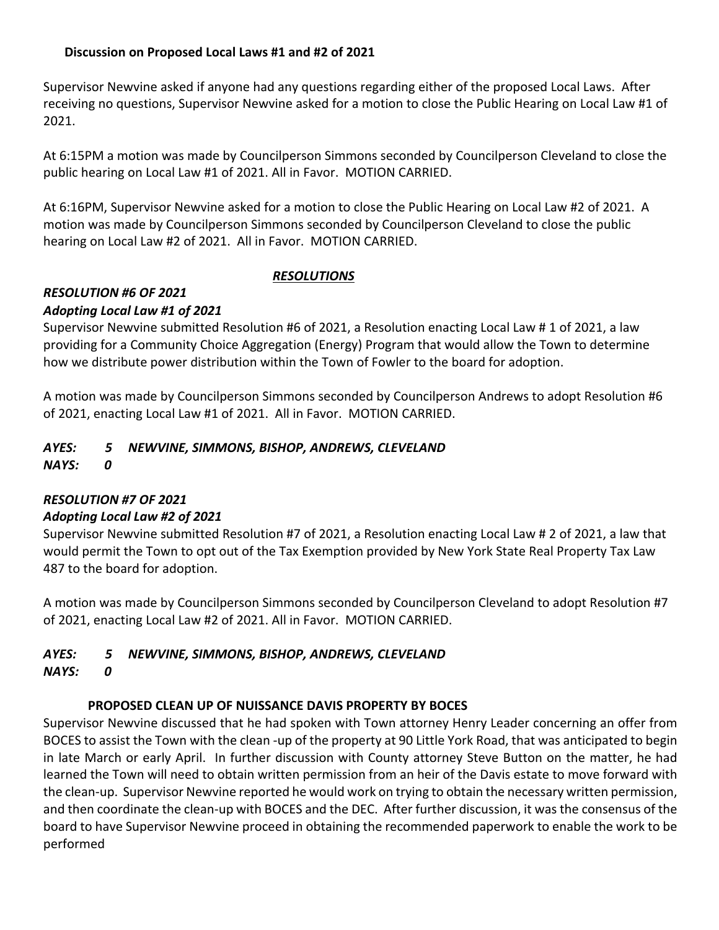### **Discussion on Proposed Local Laws #1 and #2 of 2021**

Supervisor Newvine asked if anyone had any questions regarding either of the proposed Local Laws. After receiving no questions, Supervisor Newvine asked for a motion to close the Public Hearing on Local Law #1 of 2021.

At 6:15PM a motion was made by Councilperson Simmons seconded by Councilperson Cleveland to close the public hearing on Local Law #1 of 2021. All in Favor. MOTION CARRIED.

At 6:16PM, Supervisor Newvine asked for a motion to close the Public Hearing on Local Law #2 of 2021. A motion was made by Councilperson Simmons seconded by Councilperson Cleveland to close the public hearing on Local Law #2 of 2021. All in Favor. MOTION CARRIED.

### *RESOLUTIONS*

## *RESOLUTION #6 OF 2021*

#### *Adopting Local Law #1 of 2021*

Supervisor Newvine submitted Resolution #6 of 2021, a Resolution enacting Local Law # 1 of 2021, a law providing for a Community Choice Aggregation (Energy) Program that would allow the Town to determine how we distribute power distribution within the Town of Fowler to the board for adoption.

A motion was made by Councilperson Simmons seconded by Councilperson Andrews to adopt Resolution #6 of 2021, enacting Local Law #1 of 2021. All in Favor. MOTION CARRIED.

# *AYES: 5 NEWVINE, SIMMONS, BISHOP, ANDREWS, CLEVELAND*

*NAYS: 0*

#### *RESOLUTION #7 OF 2021*

#### *Adopting Local Law #2 of 2021*

Supervisor Newvine submitted Resolution #7 of 2021, a Resolution enacting Local Law # 2 of 2021, a law that would permit the Town to opt out of the Tax Exemption provided by New York State Real Property Tax Law 487 to the board for adoption.

A motion was made by Councilperson Simmons seconded by Councilperson Cleveland to adopt Resolution #7 of 2021, enacting Local Law #2 of 2021. All in Favor. MOTION CARRIED.

#### *AYES: 5 NEWVINE, SIMMONS, BISHOP, ANDREWS, CLEVELAND NAYS: 0*

#### **PROPOSED CLEAN UP OF NUISSANCE DAVIS PROPERTY BY BOCES**

Supervisor Newvine discussed that he had spoken with Town attorney Henry Leader concerning an offer from BOCES to assist the Town with the clean -up of the property at 90 Little York Road, that was anticipated to begin in late March or early April. In further discussion with County attorney Steve Button on the matter, he had learned the Town will need to obtain written permission from an heir of the Davis estate to move forward with the clean-up. Supervisor Newvine reported he would work on trying to obtain the necessary written permission, and then coordinate the clean-up with BOCES and the DEC. After further discussion, it was the consensus of the board to have Supervisor Newvine proceed in obtaining the recommended paperwork to enable the work to be performed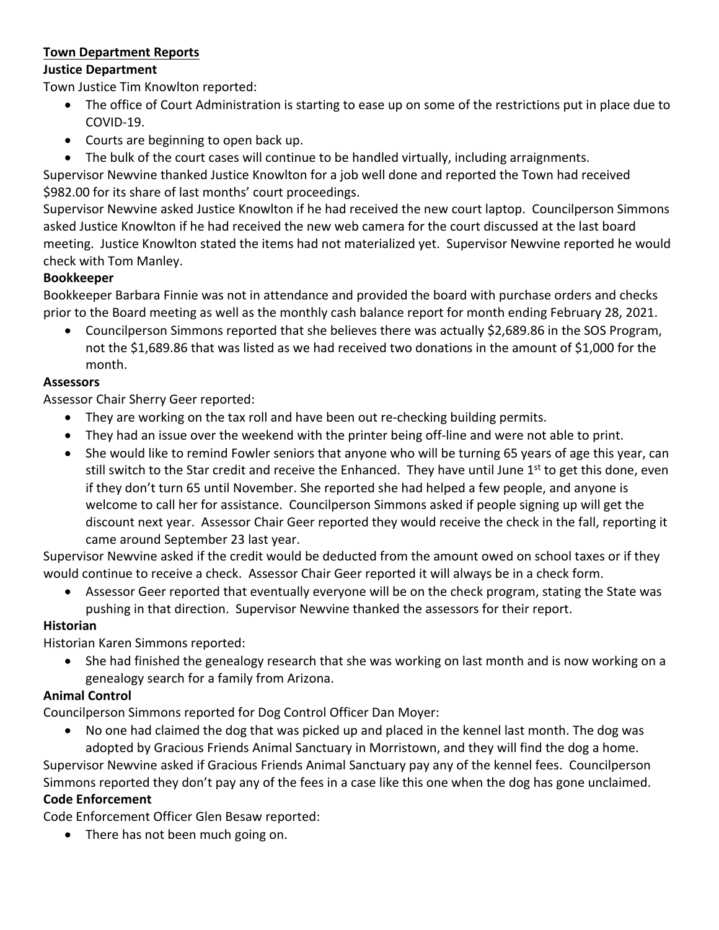### **Town Department Reports**

### **Justice Department**

Town Justice Tim Knowlton reported:

- The office of Court Administration is starting to ease up on some of the restrictions put in place due to COVID-19.
- Courts are beginning to open back up.
- The bulk of the court cases will continue to be handled virtually, including arraignments.

Supervisor Newvine thanked Justice Knowlton for a job well done and reported the Town had received \$982.00 for its share of last months' court proceedings.

Supervisor Newvine asked Justice Knowlton if he had received the new court laptop. Councilperson Simmons asked Justice Knowlton if he had received the new web camera for the court discussed at the last board meeting. Justice Knowlton stated the items had not materialized yet. Supervisor Newvine reported he would check with Tom Manley.

## **Bookkeeper**

Bookkeeper Barbara Finnie was not in attendance and provided the board with purchase orders and checks prior to the Board meeting as well as the monthly cash balance report for month ending February 28, 2021.

• Councilperson Simmons reported that she believes there was actually \$2,689.86 in the SOS Program, not the \$1,689.86 that was listed as we had received two donations in the amount of \$1,000 for the month.

## **Assessors**

Assessor Chair Sherry Geer reported:

- They are working on the tax roll and have been out re-checking building permits.
- They had an issue over the weekend with the printer being off-line and were not able to print.
- She would like to remind Fowler seniors that anyone who will be turning 65 years of age this year, can still switch to the Star credit and receive the Enhanced. They have until June 1<sup>st</sup> to get this done, even if they don't turn 65 until November. She reported she had helped a few people, and anyone is welcome to call her for assistance. Councilperson Simmons asked if people signing up will get the discount next year. Assessor Chair Geer reported they would receive the check in the fall, reporting it came around September 23 last year.

Supervisor Newvine asked if the credit would be deducted from the amount owed on school taxes or if they would continue to receive a check. Assessor Chair Geer reported it will always be in a check form.

• Assessor Geer reported that eventually everyone will be on the check program, stating the State was pushing in that direction. Supervisor Newvine thanked the assessors for their report.

## **Historian**

Historian Karen Simmons reported:

• She had finished the genealogy research that she was working on last month and is now working on a genealogy search for a family from Arizona.

## **Animal Control**

Councilperson Simmons reported for Dog Control Officer Dan Moyer:

• No one had claimed the dog that was picked up and placed in the kennel last month. The dog was adopted by Gracious Friends Animal Sanctuary in Morristown, and they will find the dog a home.

Supervisor Newvine asked if Gracious Friends Animal Sanctuary pay any of the kennel fees. Councilperson Simmons reported they don't pay any of the fees in a case like this one when the dog has gone unclaimed.

# **Code Enforcement**

Code Enforcement Officer Glen Besaw reported:

• There has not been much going on.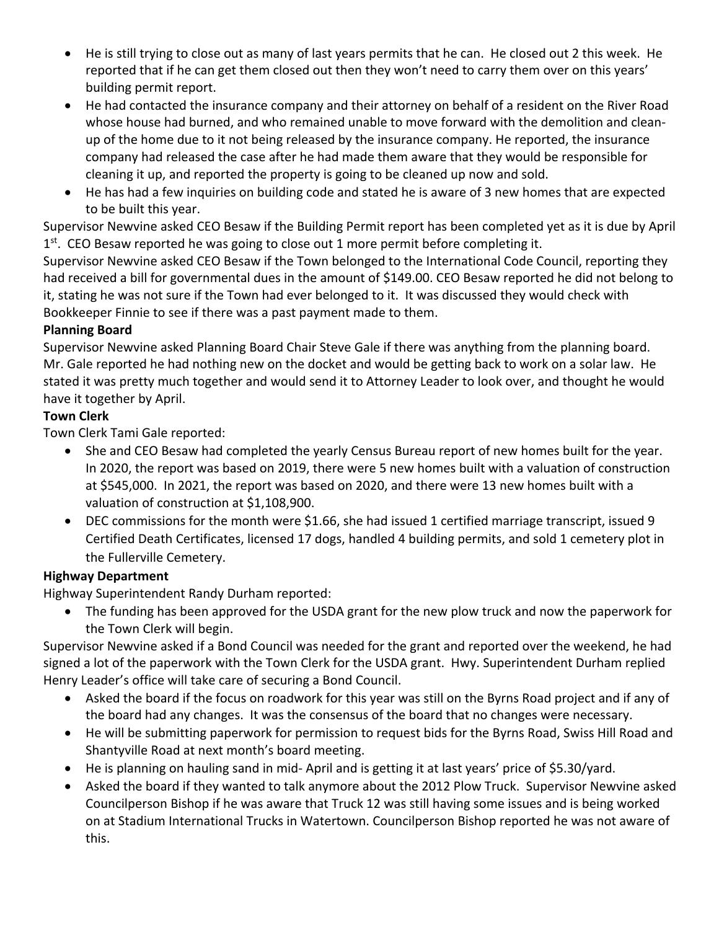- He is still trying to close out as many of last years permits that he can. He closed out 2 this week. He reported that if he can get them closed out then they won't need to carry them over on this years' building permit report.
- He had contacted the insurance company and their attorney on behalf of a resident on the River Road whose house had burned, and who remained unable to move forward with the demolition and cleanup of the home due to it not being released by the insurance company. He reported, the insurance company had released the case after he had made them aware that they would be responsible for cleaning it up, and reported the property is going to be cleaned up now and sold.
- He has had a few inquiries on building code and stated he is aware of 3 new homes that are expected to be built this year.

Supervisor Newvine asked CEO Besaw if the Building Permit report has been completed yet as it is due by April  $1<sup>st</sup>$ . CEO Besaw reported he was going to close out 1 more permit before completing it.

Supervisor Newvine asked CEO Besaw if the Town belonged to the International Code Council, reporting they had received a bill for governmental dues in the amount of \$149.00. CEO Besaw reported he did not belong to it, stating he was not sure if the Town had ever belonged to it. It was discussed they would check with Bookkeeper Finnie to see if there was a past payment made to them.

## **Planning Board**

Supervisor Newvine asked Planning Board Chair Steve Gale if there was anything from the planning board. Mr. Gale reported he had nothing new on the docket and would be getting back to work on a solar law. He stated it was pretty much together and would send it to Attorney Leader to look over, and thought he would have it together by April.

## **Town Clerk**

Town Clerk Tami Gale reported:

- She and CEO Besaw had completed the yearly Census Bureau report of new homes built for the year. In 2020, the report was based on 2019, there were 5 new homes built with a valuation of construction at \$545,000. In 2021, the report was based on 2020, and there were 13 new homes built with a valuation of construction at \$1,108,900.
- DEC commissions for the month were \$1.66, she had issued 1 certified marriage transcript, issued 9 Certified Death Certificates, licensed 17 dogs, handled 4 building permits, and sold 1 cemetery plot in the Fullerville Cemetery.

## **Highway Department**

Highway Superintendent Randy Durham reported:

• The funding has been approved for the USDA grant for the new plow truck and now the paperwork for the Town Clerk will begin.

Supervisor Newvine asked if a Bond Council was needed for the grant and reported over the weekend, he had signed a lot of the paperwork with the Town Clerk for the USDA grant. Hwy. Superintendent Durham replied Henry Leader's office will take care of securing a Bond Council.

- Asked the board if the focus on roadwork for this year was still on the Byrns Road project and if any of the board had any changes. It was the consensus of the board that no changes were necessary.
- He will be submitting paperwork for permission to request bids for the Byrns Road, Swiss Hill Road and Shantyville Road at next month's board meeting.
- He is planning on hauling sand in mid- April and is getting it at last years' price of \$5.30/yard.
- Asked the board if they wanted to talk anymore about the 2012 Plow Truck. Supervisor Newvine asked Councilperson Bishop if he was aware that Truck 12 was still having some issues and is being worked on at Stadium International Trucks in Watertown. Councilperson Bishop reported he was not aware of this.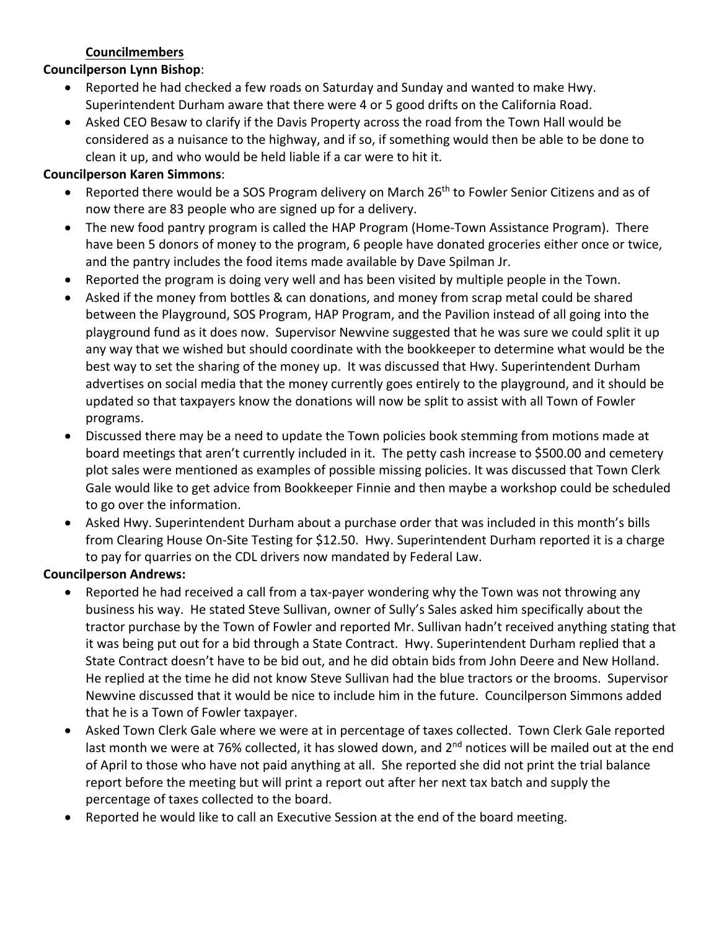### **Councilmembers**

#### **Councilperson Lynn Bishop**:

- Reported he had checked a few roads on Saturday and Sunday and wanted to make Hwy. Superintendent Durham aware that there were 4 or 5 good drifts on the California Road.
- Asked CEO Besaw to clarify if the Davis Property across the road from the Town Hall would be considered as a nuisance to the highway, and if so, if something would then be able to be done to clean it up, and who would be held liable if a car were to hit it.

### **Councilperson Karen Simmons**:

- Reported there would be a SOS Program delivery on March 26<sup>th</sup> to Fowler Senior Citizens and as of now there are 83 people who are signed up for a delivery.
- The new food pantry program is called the HAP Program (Home-Town Assistance Program). There have been 5 donors of money to the program, 6 people have donated groceries either once or twice, and the pantry includes the food items made available by Dave Spilman Jr.
- Reported the program is doing very well and has been visited by multiple people in the Town.
- Asked if the money from bottles & can donations, and money from scrap metal could be shared between the Playground, SOS Program, HAP Program, and the Pavilion instead of all going into the playground fund as it does now. Supervisor Newvine suggested that he was sure we could split it up any way that we wished but should coordinate with the bookkeeper to determine what would be the best way to set the sharing of the money up. It was discussed that Hwy. Superintendent Durham advertises on social media that the money currently goes entirely to the playground, and it should be updated so that taxpayers know the donations will now be split to assist with all Town of Fowler programs.
- Discussed there may be a need to update the Town policies book stemming from motions made at board meetings that aren't currently included in it. The petty cash increase to \$500.00 and cemetery plot sales were mentioned as examples of possible missing policies. It was discussed that Town Clerk Gale would like to get advice from Bookkeeper Finnie and then maybe a workshop could be scheduled to go over the information.
- Asked Hwy. Superintendent Durham about a purchase order that was included in this month's bills from Clearing House On-Site Testing for \$12.50. Hwy. Superintendent Durham reported it is a charge to pay for quarries on the CDL drivers now mandated by Federal Law.

### **Councilperson Andrews:**

- Reported he had received a call from a tax-payer wondering why the Town was not throwing any business his way. He stated Steve Sullivan, owner of Sully's Sales asked him specifically about the tractor purchase by the Town of Fowler and reported Mr. Sullivan hadn't received anything stating that it was being put out for a bid through a State Contract. Hwy. Superintendent Durham replied that a State Contract doesn't have to be bid out, and he did obtain bids from John Deere and New Holland. He replied at the time he did not know Steve Sullivan had the blue tractors or the brooms. Supervisor Newvine discussed that it would be nice to include him in the future. Councilperson Simmons added that he is a Town of Fowler taxpayer.
- Asked Town Clerk Gale where we were at in percentage of taxes collected. Town Clerk Gale reported last month we were at 76% collected, it has slowed down, and 2<sup>nd</sup> notices will be mailed out at the end of April to those who have not paid anything at all. She reported she did not print the trial balance report before the meeting but will print a report out after her next tax batch and supply the percentage of taxes collected to the board.
- Reported he would like to call an Executive Session at the end of the board meeting.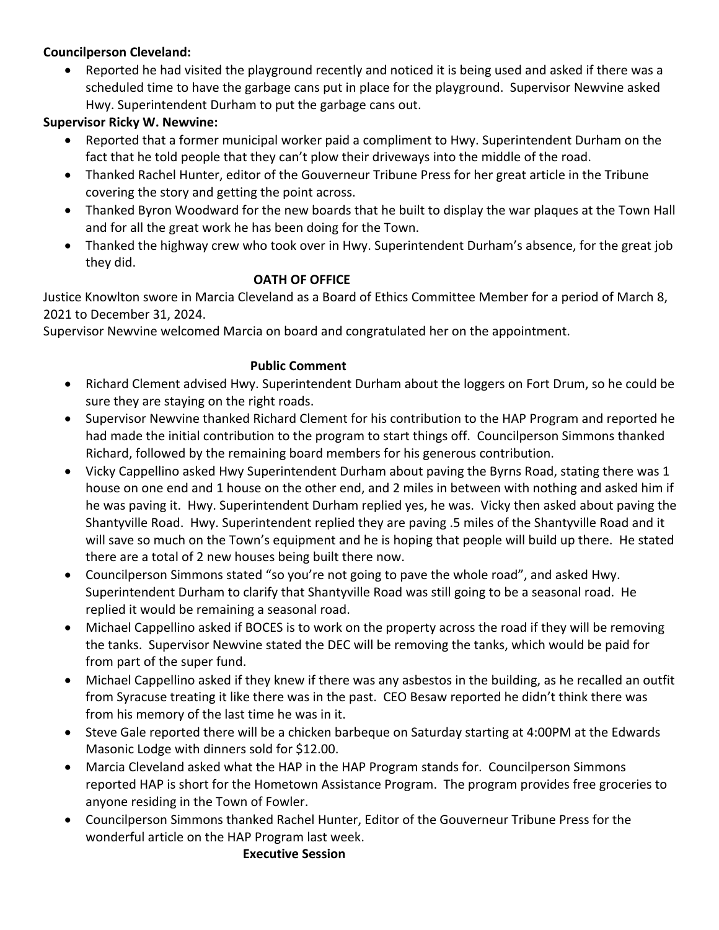## **Councilperson Cleveland:**

• Reported he had visited the playground recently and noticed it is being used and asked if there was a scheduled time to have the garbage cans put in place for the playground. Supervisor Newvine asked Hwy. Superintendent Durham to put the garbage cans out.

## **Supervisor Ricky W. Newvine:**

- Reported that a former municipal worker paid a compliment to Hwy. Superintendent Durham on the fact that he told people that they can't plow their driveways into the middle of the road.
- Thanked Rachel Hunter, editor of the Gouverneur Tribune Press for her great article in the Tribune covering the story and getting the point across.
- Thanked Byron Woodward for the new boards that he built to display the war plaques at the Town Hall and for all the great work he has been doing for the Town.
- Thanked the highway crew who took over in Hwy. Superintendent Durham's absence, for the great job they did.

### **OATH OF OFFICE**

Justice Knowlton swore in Marcia Cleveland as a Board of Ethics Committee Member for a period of March 8, 2021 to December 31, 2024.

Supervisor Newvine welcomed Marcia on board and congratulated her on the appointment.

## **Public Comment**

- Richard Clement advised Hwy. Superintendent Durham about the loggers on Fort Drum, so he could be sure they are staying on the right roads.
- Supervisor Newvine thanked Richard Clement for his contribution to the HAP Program and reported he had made the initial contribution to the program to start things off. Councilperson Simmons thanked Richard, followed by the remaining board members for his generous contribution.
- Vicky Cappellino asked Hwy Superintendent Durham about paving the Byrns Road, stating there was 1 house on one end and 1 house on the other end, and 2 miles in between with nothing and asked him if he was paving it. Hwy. Superintendent Durham replied yes, he was. Vicky then asked about paving the Shantyville Road. Hwy. Superintendent replied they are paving .5 miles of the Shantyville Road and it will save so much on the Town's equipment and he is hoping that people will build up there. He stated there are a total of 2 new houses being built there now.
- Councilperson Simmons stated "so you're not going to pave the whole road", and asked Hwy. Superintendent Durham to clarify that Shantyville Road was still going to be a seasonal road. He replied it would be remaining a seasonal road.
- Michael Cappellino asked if BOCES is to work on the property across the road if they will be removing the tanks. Supervisor Newvine stated the DEC will be removing the tanks, which would be paid for from part of the super fund.
- Michael Cappellino asked if they knew if there was any asbestos in the building, as he recalled an outfit from Syracuse treating it like there was in the past. CEO Besaw reported he didn't think there was from his memory of the last time he was in it.
- Steve Gale reported there will be a chicken barbeque on Saturday starting at 4:00PM at the Edwards Masonic Lodge with dinners sold for \$12.00.
- Marcia Cleveland asked what the HAP in the HAP Program stands for. Councilperson Simmons reported HAP is short for the Hometown Assistance Program. The program provides free groceries to anyone residing in the Town of Fowler.
- Councilperson Simmons thanked Rachel Hunter, Editor of the Gouverneur Tribune Press for the wonderful article on the HAP Program last week.

#### **Executive Session**